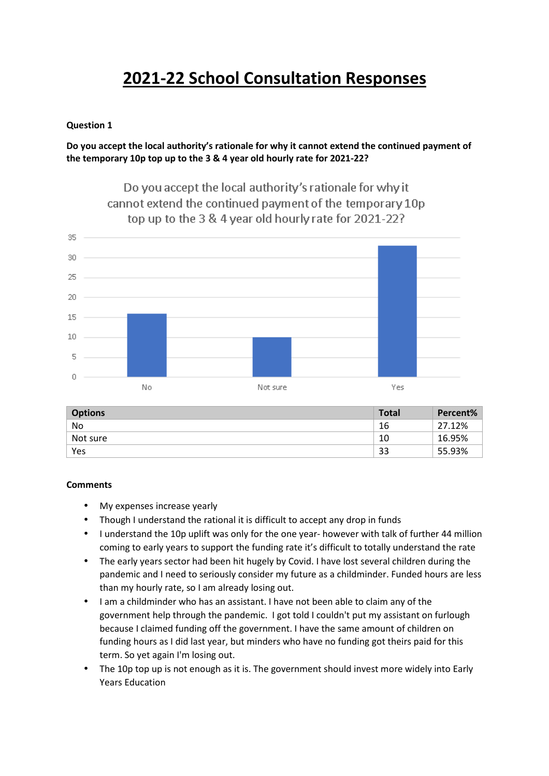### **Question 1**

# **Do you accept the local authority's rationale for why it cannot extend the continued payment of the temporary 10p top up to the 3 & 4 year old hourly rate for 2021-22?**



| <b>Options</b> | Total | Percent% |
|----------------|-------|----------|
| No             | 16    | 27.12%   |
| Not sure       | 10    | 16.95%   |
| Yes            | 33    | 55.93%   |

#### **Comments**

- My expenses increase yearly
- Though I understand the rational it is difficult to accept any drop in funds
- I understand the 10p uplift was only for the one year- however with talk of further 44 million coming to early years to support the funding rate it's difficult to totally understand the rate
- The early years sector had been hit hugely by Covid. I have lost several children during the pandemic and I need to seriously consider my future as a childminder. Funded hours are less than my hourly rate, so I am already losing out.
- I am a childminder who has an assistant. I have not been able to claim any of the government help through the pandemic. I got told I couldn't put my assistant on furlough because I claimed funding off the government. I have the same amount of children on funding hours as I did last year, but minders who have no funding got theirs paid for this term. So yet again I'm losing out.
- The 10p top up is not enough as it is. The government should invest more widely into Early Years Education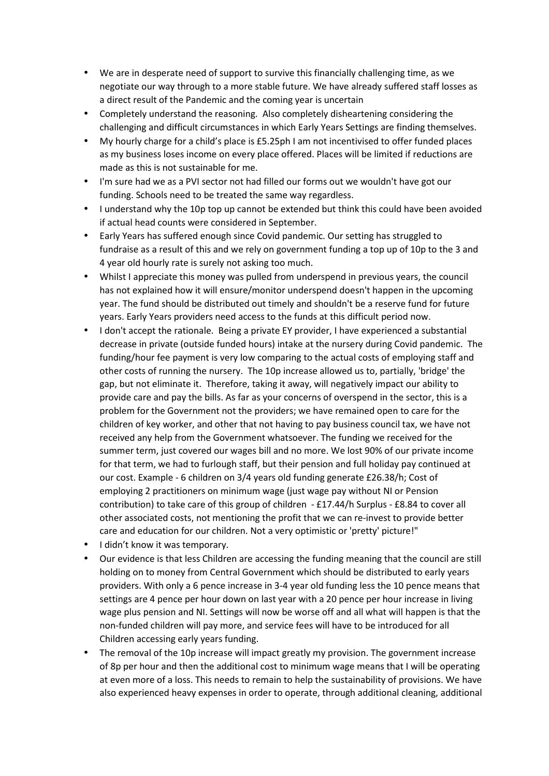- We are in desperate need of support to survive this financially challenging time, as we negotiate our way through to a more stable future. We have already suffered staff losses as a direct result of the Pandemic and the coming year is uncertain
- Completely understand the reasoning. Also completely disheartening considering the challenging and difficult circumstances in which Early Years Settings are finding themselves.
- My hourly charge for a child's place is £5.25ph I am not incentivised to offer funded places as my business loses income on every place offered. Places will be limited if reductions are made as this is not sustainable for me.
- I'm sure had we as a PVI sector not had filled our forms out we wouldn't have got our funding. Schools need to be treated the same way regardless.
- I understand why the 10p top up cannot be extended but think this could have been avoided if actual head counts were considered in September.
- Early Years has suffered enough since Covid pandemic. Our setting has struggled to fundraise as a result of this and we rely on government funding a top up of 10p to the 3 and 4 year old hourly rate is surely not asking too much.
- Whilst I appreciate this money was pulled from underspend in previous years, the council has not explained how it will ensure/monitor underspend doesn't happen in the upcoming year. The fund should be distributed out timely and shouldn't be a reserve fund for future years. Early Years providers need access to the funds at this difficult period now.
- I don't accept the rationale. Being a private EY provider, I have experienced a substantial decrease in private (outside funded hours) intake at the nursery during Covid pandemic. The funding/hour fee payment is very low comparing to the actual costs of employing staff and other costs of running the nursery. The 10p increase allowed us to, partially, 'bridge' the gap, but not eliminate it. Therefore, taking it away, will negatively impact our ability to provide care and pay the bills. As far as your concerns of overspend in the sector, this is a problem for the Government not the providers; we have remained open to care for the children of key worker, and other that not having to pay business council tax, we have not received any help from the Government whatsoever. The funding we received for the summer term, just covered our wages bill and no more. We lost 90% of our private income for that term, we had to furlough staff, but their pension and full holiday pay continued at our cost. Example - 6 children on 3/4 years old funding generate £26.38/h; Cost of employing 2 practitioners on minimum wage (just wage pay without NI or Pension contribution) to take care of this group of children - £17.44/h Surplus - £8.84 to cover all other associated costs, not mentioning the profit that we can re-invest to provide better care and education for our children. Not a very optimistic or 'pretty' picture!"
- I didn't know it was temporary.
- Our evidence is that less Children are accessing the funding meaning that the council are still holding on to money from Central Government which should be distributed to early years providers. With only a 6 pence increase in 3-4 year old funding less the 10 pence means that settings are 4 pence per hour down on last year with a 20 pence per hour increase in living wage plus pension and NI. Settings will now be worse off and all what will happen is that the non-funded children will pay more, and service fees will have to be introduced for all Children accessing early years funding.
- The removal of the 10p increase will impact greatly my provision. The government increase of 8p per hour and then the additional cost to minimum wage means that I will be operating at even more of a loss. This needs to remain to help the sustainability of provisions. We have also experienced heavy expenses in order to operate, through additional cleaning, additional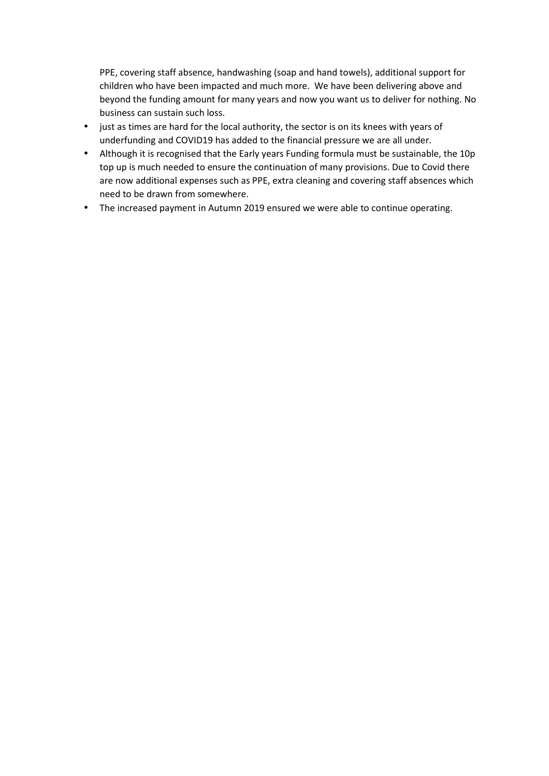PPE, covering staff absence, handwashing (soap and hand towels), additional support for children who have been impacted and much more. We have been delivering above and beyond the funding amount for many years and now you want us to deliver for nothing. No business can sustain such loss.

- just as times are hard for the local authority, the sector is on its knees with years of underfunding and COVID19 has added to the financial pressure we are all under.
- Although it is recognised that the Early years Funding formula must be sustainable, the 10p top up is much needed to ensure the continuation of many provisions. Due to Covid there are now additional expenses such as PPE, extra cleaning and covering staff absences which need to be drawn from somewhere.
- The increased payment in Autumn 2019 ensured we were able to continue operating.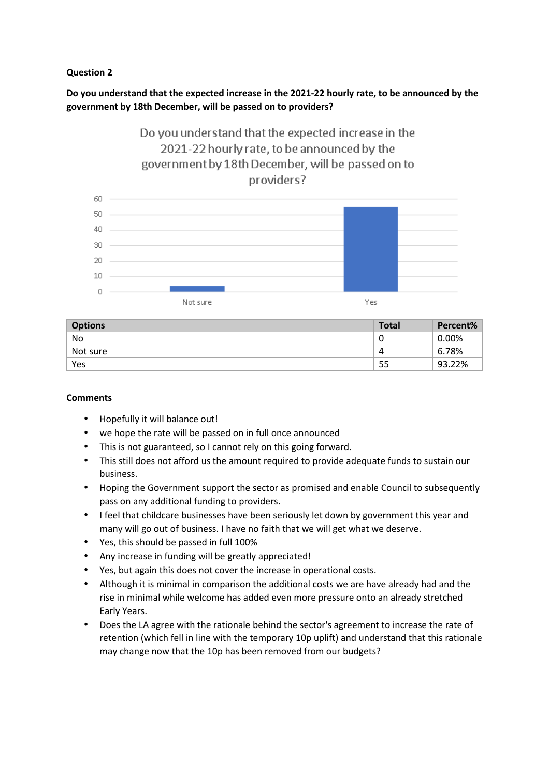# **Question 2**

# **Do you understand that the expected increase in the 2021-22 hourly rate, to be announced by the government by 18th December, will be passed on to providers?**

# Do you understand that the expected increase in the 2021-22 hourly rate, to be announced by the government by 18th December, will be passed on to providers?



| <b>Options</b> | <b>Total</b> | Percent% |
|----------------|--------------|----------|
| No             | U            | $0.00\%$ |
| Not sure       | 4            | 6.78%    |
| Yes            | 55           | 93.22%   |

# **Comments**

- Hopefully it will balance out!
- we hope the rate will be passed on in full once announced
- This is not guaranteed, so I cannot rely on this going forward.
- This still does not afford us the amount required to provide adequate funds to sustain our business.
- Hoping the Government support the sector as promised and enable Council to subsequently pass on any additional funding to providers.
- I feel that childcare businesses have been seriously let down by government this year and many will go out of business. I have no faith that we will get what we deserve.
- Yes, this should be passed in full 100%
- Any increase in funding will be greatly appreciated!
- Yes, but again this does not cover the increase in operational costs.
- Although it is minimal in comparison the additional costs we are have already had and the rise in minimal while welcome has added even more pressure onto an already stretched Early Years.
- Does the LA agree with the rationale behind the sector's agreement to increase the rate of retention (which fell in line with the temporary 10p uplift) and understand that this rationale may change now that the 10p has been removed from our budgets?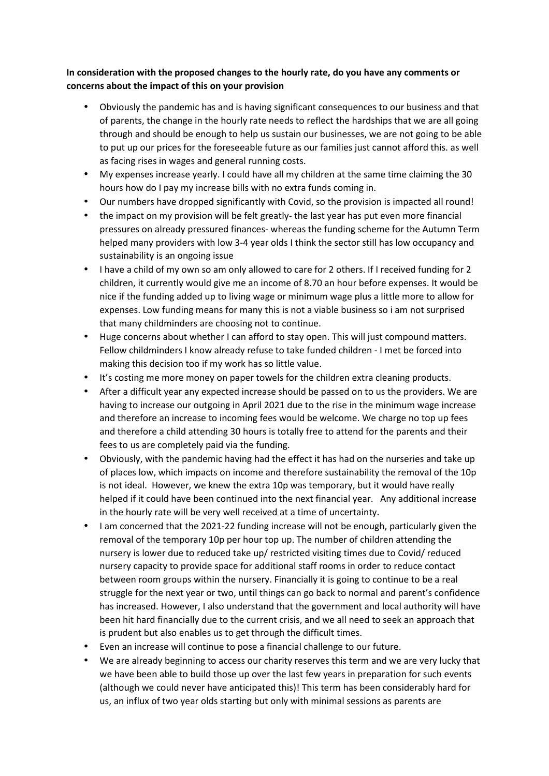# **In consideration with the proposed changes to the hourly rate, do you have any comments or concerns about the impact of this on your provision**

- Obviously the pandemic has and is having significant consequences to our business and that of parents, the change in the hourly rate needs to reflect the hardships that we are all going through and should be enough to help us sustain our businesses, we are not going to be able to put up our prices for the foreseeable future as our families just cannot afford this. as well as facing rises in wages and general running costs.
- My expenses increase yearly. I could have all my children at the same time claiming the 30 hours how do I pay my increase bills with no extra funds coming in.
- Our numbers have dropped significantly with Covid, so the provision is impacted all round!
- the impact on my provision will be felt greatly- the last year has put even more financial pressures on already pressured finances- whereas the funding scheme for the Autumn Term helped many providers with low 3-4 year olds I think the sector still has low occupancy and sustainability is an ongoing issue
- I have a child of my own so am only allowed to care for 2 others. If I received funding for 2 children, it currently would give me an income of 8.70 an hour before expenses. It would be nice if the funding added up to living wage or minimum wage plus a little more to allow for expenses. Low funding means for many this is not a viable business so i am not surprised that many childminders are choosing not to continue.
- Huge concerns about whether I can afford to stay open. This will just compound matters. Fellow childminders I know already refuse to take funded children - I met be forced into making this decision too if my work has so little value.
- It's costing me more money on paper towels for the children extra cleaning products.
- After a difficult year any expected increase should be passed on to us the providers. We are having to increase our outgoing in April 2021 due to the rise in the minimum wage increase and therefore an increase to incoming fees would be welcome. We charge no top up fees and therefore a child attending 30 hours is totally free to attend for the parents and their fees to us are completely paid via the funding.
- Obviously, with the pandemic having had the effect it has had on the nurseries and take up of places low, which impacts on income and therefore sustainability the removal of the 10p is not ideal. However, we knew the extra 10p was temporary, but it would have really helped if it could have been continued into the next financial year. Any additional increase in the hourly rate will be very well received at a time of uncertainty.
- I am concerned that the 2021-22 funding increase will not be enough, particularly given the removal of the temporary 10p per hour top up. The number of children attending the nursery is lower due to reduced take up/ restricted visiting times due to Covid/ reduced nursery capacity to provide space for additional staff rooms in order to reduce contact between room groups within the nursery. Financially it is going to continue to be a real struggle for the next year or two, until things can go back to normal and parent's confidence has increased. However, I also understand that the government and local authority will have been hit hard financially due to the current crisis, and we all need to seek an approach that is prudent but also enables us to get through the difficult times.
- Even an increase will continue to pose a financial challenge to our future.
- We are already beginning to access our charity reserves this term and we are very lucky that we have been able to build those up over the last few years in preparation for such events (although we could never have anticipated this)! This term has been considerably hard for us, an influx of two year olds starting but only with minimal sessions as parents are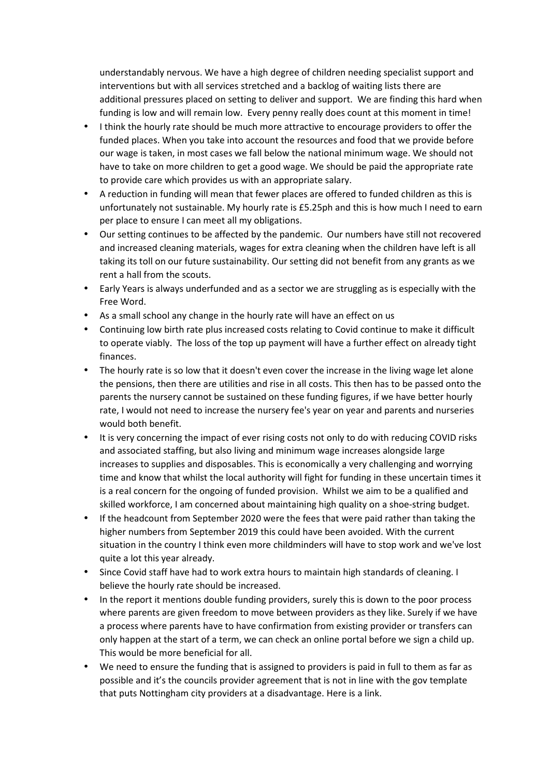understandably nervous. We have a high degree of children needing specialist support and interventions but with all services stretched and a backlog of waiting lists there are additional pressures placed on setting to deliver and support. We are finding this hard when funding is low and will remain low. Every penny really does count at this moment in time!

- I think the hourly rate should be much more attractive to encourage providers to offer the funded places. When you take into account the resources and food that we provide before our wage is taken, in most cases we fall below the national minimum wage. We should not have to take on more children to get a good wage. We should be paid the appropriate rate to provide care which provides us with an appropriate salary.
- A reduction in funding will mean that fewer places are offered to funded children as this is unfortunately not sustainable. My hourly rate is £5.25ph and this is how much I need to earn per place to ensure I can meet all my obligations.
- Our setting continues to be affected by the pandemic. Our numbers have still not recovered and increased cleaning materials, wages for extra cleaning when the children have left is all taking its toll on our future sustainability. Our setting did not benefit from any grants as we rent a hall from the scouts.
- Early Years is always underfunded and as a sector we are struggling as is especially with the Free Word.
- As a small school any change in the hourly rate will have an effect on us
- Continuing low birth rate plus increased costs relating to Covid continue to make it difficult to operate viably. The loss of the top up payment will have a further effect on already tight finances.
- The hourly rate is so low that it doesn't even cover the increase in the living wage let alone the pensions, then there are utilities and rise in all costs. This then has to be passed onto the parents the nursery cannot be sustained on these funding figures, if we have better hourly rate, I would not need to increase the nursery fee's year on year and parents and nurseries would both benefit.
- It is very concerning the impact of ever rising costs not only to do with reducing COVID risks and associated staffing, but also living and minimum wage increases alongside large increases to supplies and disposables. This is economically a very challenging and worrying time and know that whilst the local authority will fight for funding in these uncertain times it is a real concern for the ongoing of funded provision. Whilst we aim to be a qualified and skilled workforce, I am concerned about maintaining high quality on a shoe-string budget.
- If the headcount from September 2020 were the fees that were paid rather than taking the higher numbers from September 2019 this could have been avoided. With the current situation in the country I think even more childminders will have to stop work and we've lost quite a lot this year already.
- Since Covid staff have had to work extra hours to maintain high standards of cleaning. I believe the hourly rate should be increased.
- In the report it mentions double funding providers, surely this is down to the poor process where parents are given freedom to move between providers as they like. Surely if we have a process where parents have to have confirmation from existing provider or transfers can only happen at the start of a term, we can check an online portal before we sign a child up. This would be more beneficial for all.
- We need to ensure the funding that is assigned to providers is paid in full to them as far as possible and it's the councils provider agreement that is not in line with the gov template that puts Nottingham city providers at a disadvantage. Here is a link.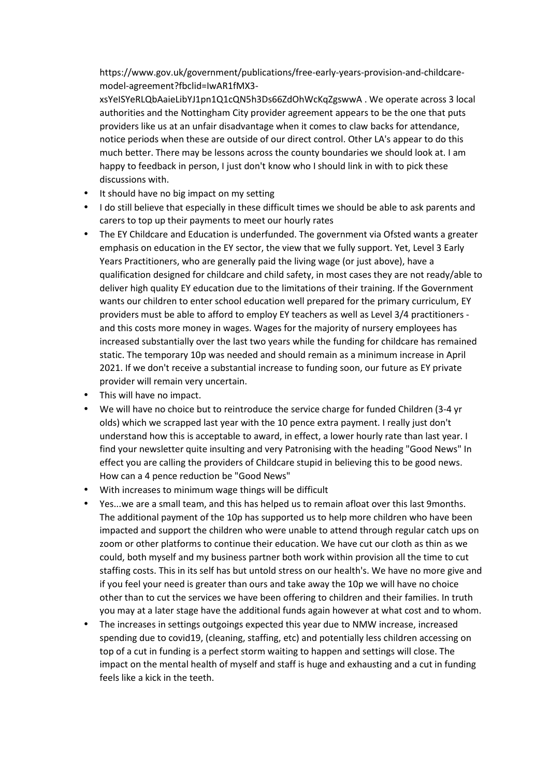https://www.gov.uk/government/publications/free-early-years-provision-and-childcaremodel-agreement?fbclid=IwAR1fMX3-

xsYeISYeRLQbAaieLibYJ1pn1Q1cQN5h3Ds66ZdOhWcKqZgswwA . We operate across 3 local authorities and the Nottingham City provider agreement appears to be the one that puts providers like us at an unfair disadvantage when it comes to claw backs for attendance, notice periods when these are outside of our direct control. Other LA's appear to do this much better. There may be lessons across the county boundaries we should look at. I am happy to feedback in person, I just don't know who I should link in with to pick these discussions with.

- It should have no big impact on my setting
- I do still believe that especially in these difficult times we should be able to ask parents and carers to top up their payments to meet our hourly rates
- The EY Childcare and Education is underfunded. The government via Ofsted wants a greater emphasis on education in the EY sector, the view that we fully support. Yet, Level 3 Early Years Practitioners, who are generally paid the living wage (or just above), have a qualification designed for childcare and child safety, in most cases they are not ready/able to deliver high quality EY education due to the limitations of their training. If the Government wants our children to enter school education well prepared for the primary curriculum, EY providers must be able to afford to employ EY teachers as well as Level 3/4 practitioners and this costs more money in wages. Wages for the majority of nursery employees has increased substantially over the last two years while the funding for childcare has remained static. The temporary 10p was needed and should remain as a minimum increase in April 2021. If we don't receive a substantial increase to funding soon, our future as EY private provider will remain very uncertain.
- This will have no impact.
- We will have no choice but to reintroduce the service charge for funded Children (3-4 yr olds) which we scrapped last year with the 10 pence extra payment. I really just don't understand how this is acceptable to award, in effect, a lower hourly rate than last year. I find your newsletter quite insulting and very Patronising with the heading "Good News" In effect you are calling the providers of Childcare stupid in believing this to be good news. How can a 4 pence reduction be "Good News"
- With increases to minimum wage things will be difficult
- Yes...we are a small team, and this has helped us to remain afloat over this last 9months. The additional payment of the 10p has supported us to help more children who have been impacted and support the children who were unable to attend through regular catch ups on zoom or other platforms to continue their education. We have cut our cloth as thin as we could, both myself and my business partner both work within provision all the time to cut staffing costs. This in its self has but untold stress on our health's. We have no more give and if you feel your need is greater than ours and take away the 10p we will have no choice other than to cut the services we have been offering to children and their families. In truth you may at a later stage have the additional funds again however at what cost and to whom.
- The increases in settings outgoings expected this year due to NMW increase, increased spending due to covid19, (cleaning, staffing, etc) and potentially less children accessing on top of a cut in funding is a perfect storm waiting to happen and settings will close. The impact on the mental health of myself and staff is huge and exhausting and a cut in funding feels like a kick in the teeth.